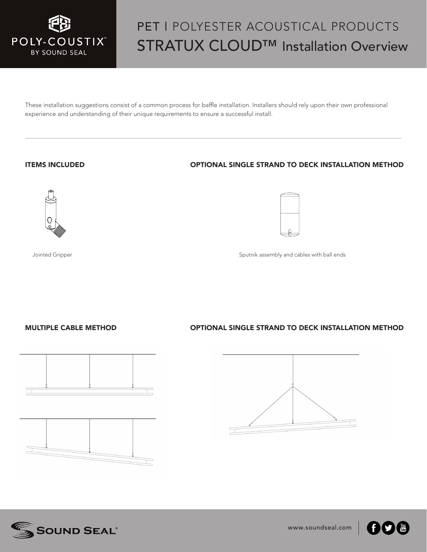

These installation suggestions consist of a common process for baffle installation. Installers should rely upon their own professional experience and understanding of their unique requirements to ensure a successful install.

#### ITEMS INCLUDED OPTIONAL SINGLE STRAND TO DECK INSTALLATION METHOD





Jointed Gripper **Sputnik assembly and cables with ball ends** Sputnik assembly and cables with ball ends

MULTIPLE CABLE METHOD

#### OPTIONAL SINGLE STRAND TO DECK INSTALLATION METHOD





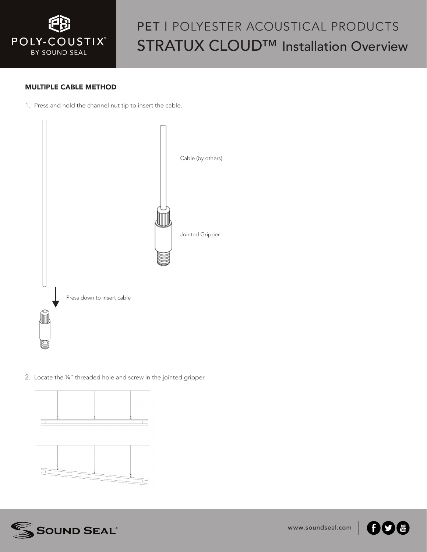

#### MULTIPLE CABLE METHOD

1. Press and hold the channel nut tip to insert the cable.



2. Locate the ¼" threaded hole and screw in the jointed gripper.





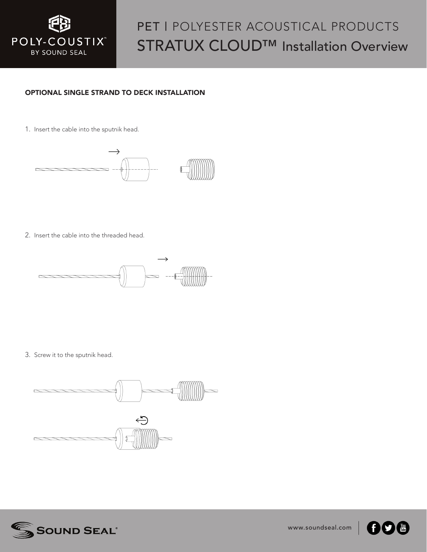

#### OPTIONAL SINGLE STRAND TO DECK INSTALLATION

1. Insert the cable into the sputnik head.



2. Insert the cable into the threaded head.



3. Screw it to the sputnik head.



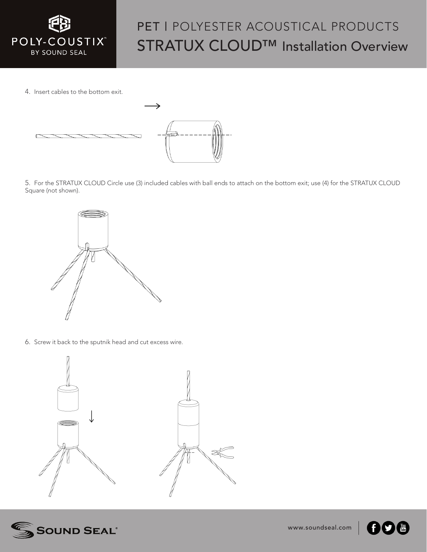

4. Insert cables to the bottom exit.



5. For the STRATUX CLOUD Circle use (3) included cables with ball ends to attach on the bottom exit; use (4) for the STRATUX CLOUD Square (not shown).



6. Screw it back to the sputnik head and cut excess wire.





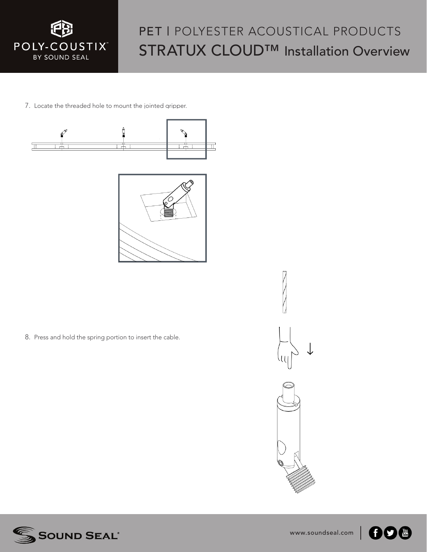

7. Locate the threaded hole to mount the jointed gripper.





8. Press and hold the spring portion to insert the cable.